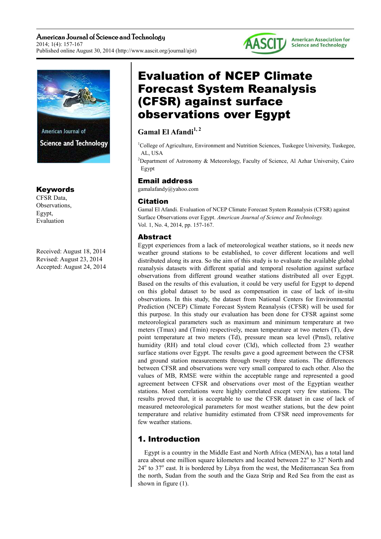American Journal of Science and Technology 2014; 1(4): 157-167 Published online August 30, 2014 (http://www.aascit.org/journal/ajst)





# Keywords

CFSR Data, Observations, Egypt, Evaluation

Received: August 18, 2014 Revised: August 23, 2014 Accepted: August 24, 2014

# Evaluation of NCEP Climate Forecast System Reanalysis (CFSR) against surface observations over Egypt

# **Gamal El Afandi1, 2**

<sup>1</sup>College of Agriculture, Environment and Nutrition Sciences, Tuskegee University, Tuskegee, AL, USA

<sup>2</sup>Department of Astronomy & Meteorology, Faculty of Science, Al Azhar University, Cairo Egypt

# Email address

gamalafandy@yahoo.com

## Citation

Gamal El Afandi. Evaluation of NCEP Climate Forecast System Reanalysis (CFSR) against Surface Observations over Egypt. *American Journal of Science and Technology.* Vol. 1, No. 4, 2014, pp. 157-167.

# Abstract

Egypt experiences from a lack of meteorological weather stations, so it needs new weather ground stations to be established, to cover different locations and well distributed along its area. So the aim of this study is to evaluate the available global reanalysis datasets with different spatial and temporal resolution against surface observations from different ground weather stations distributed all over Egypt. Based on the results of this evaluation, it could be very useful for Egypt to depend on this global dataset to be used as compensation in case of lack of in-situ observations. In this study, the dataset from National Centers for Environmental Prediction (NCEP) Climate Forecast System Reanalysis (CFSR) will be used for this purpose. In this study our evaluation has been done for CFSR against some meteorological parameters such as maximum and minimum temperature at two meters (Tmax) and (Tmin) respectively, mean temperature at two meters (T), dew point temperature at two meters (Td), pressure mean sea level (Pmsl), relative humidity (RH) and total cloud cover (Cld), which collected from 23 weather surface stations over Egypt. The results gave a good agreement between the CFSR and ground station measurements through twenty three stations. The differences between CFSR and observations were very small compared to each other. Also the values of MB, RMSE were within the acceptable range and represented a good agreement between CFSR and observations over most of the Egyptian weather stations. Most correlations were highly correlated except very few stations. The results proved that, it is acceptable to use the CFSR dataset in case of lack of measured meteorological parameters for most weather stations, but the dew point temperature and relative humidity estimated from CFSR need improvements for few weather stations.

# 1. Introduction

Egypt is a country in the Middle East and North Africa (MENA), has a total land area about one million square kilometers and located between  $22^{\circ}$  to  $32^{\circ}$  North and 24<sup>°</sup> to 37<sup>°</sup> east. It is bordered by Libya from the west, the Mediterranean Sea from the north, Sudan from the south and the Gaza Strip and Red Sea from the east as shown in figure (1).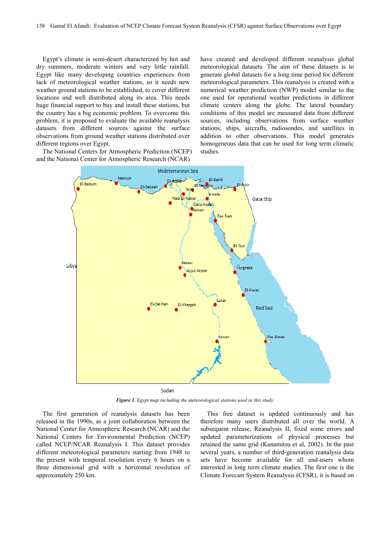Egypt's climate is semi-desert characterized by hot and dry summers, moderate winters and very little rainfall. Egypt like many developing countries experiences from lack of meteorological weather stations, so it needs new weather ground stations to be established, to cover different locations and well distributed along its area. This needs huge financial support to buy and install these stations, but the country has a big economic problem. To overcome this problem, it is proposed to evaluate the available reanalysis datasets from different sources against the surface observations from ground weather stations distributed over different regions over Egypt.

The National Centers for Atmospheric Prediction (NCEP) and the National Center for Atmospheric Research (NCAR)

have created and developed different reanalysis global meteorological datasets. The aim of these datasets is to generate global datasets for a long time period for different meteorological parameters. This reanalysis is created with a numerical weather prediction (NWP) model similar to the one used for operational weather predictions in different climate centers along the globe. The lateral boundary conditions of this model are measured data from different sources, including observations from surface weather stations, ships, aircrafts, radiosondes, and satellites in addition to other observations. This model generates homogeneous data that can be used for long term climatic studies.



Sudan

*Figure 1. Egypt map including the meteorological stations used in this study.* 

The first generation of reanalysis datasets has been released in the 1990s, as a joint collaboration between the National Center for Atmospheric Research (NCAR) and the National Centers for Environmental Prediction (NCEP) called NCEP/NCAR Reanalysis I. This dataset provides different meteorological parameters starting from 1948 to the present with temporal resolution every 6 hours on a three dimensional grid with a horizontal resolution of approximately 250 km.

This free dataset is updated continuously and has therefore many users distributed all over the world. A subsequent release, Reanalysis II, fixed some errors and updated parameterizations of physical processes but retained the same grid (Kanamitsu et al, 2002). In the past several years, a number of third‐generation reanalysis data sets have become available for all end-users whom interested in long term climate studies. The first one is the Climate Forecast System Reanalysis (CFSR), it is based on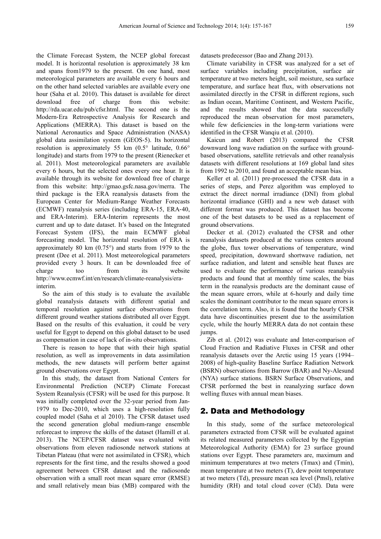the Climate Forecast System, the NCEP global forecast model. It is horizontal resolution is approximately 38 km and spans from1979 to the present. On one hand, most meteorological parameters are available every 6 hours and on the other hand selected variables are available every one hour (Saha et al. 2010). This dataset is available for direct download free of charge from this website: http://rda.ucar.edu/pub/cfsr.html. The second one is the Modern‐Era Retrospective Analysis for Research and Applications (MERRA). This dataset is based on the National Aeronautics and Space Administration (NASA) global data assimilation system (GEOS‐5). Its horizontal resolution is approximately 55 km (0.5° latitude, 0.66° longitude) and starts from 1979 to the present (Rienecker et al. 2011). Most meteorological parameters are available every 6 hours, but the selected ones every one hour. It is available through its website for download free of charge from this website: http://gmao.gsfc.nasa.gov/merra. The third package is the ERA reanalysis datasets from the European Center for Medium‐Range Weather Forecasts (ECMWF) reanalysis series (including ERA‐15, ERA‐40, and ERA‐Interim). ERA‐Interim represents the most current and up to date dataset. It's based on the Integrated Forecast System (IFS), the main ECMWF global forecasting model. The horizontal resolution of ERA is approximately 80 km (0.75°) and starts from 1979 to the present (Dee et al. 2011). Most meteorological parameters provided every 3 hours. It can be downloaded free of charge too from its website http://www.ecmwf.int/en/research/climate-reanalysis/erainterim.

So the aim of this study is to evaluate the available global reanalysis datasets with different spatial and temporal resolution against surface observations from different ground weather stations distributed all over Egypt. Based on the results of this evaluation, it could be very useful for Egypt to depend on this global dataset to be used as compensation in case of lack of in-situ observations.

There is reason to hope that with their high spatial resolution, as well as improvements in data assimilation methods, the new datasets will perform better against ground observations over Egypt.

In this study, the dataset from National Centers for Environmental Prediction (NCEP) Climate Forecast System Reanalysis (CFSR) will be used for this purpose. It was initially completed over the 32-year period from Jan-1979 to Dec-2010, which uses a high-resolution fully coupled model (Saha et al 2010). The CFSR dataset used the second generation global medium-range ensemble reforecast to improve the skills of the dataset (Hamill et al. 2013). The NCEP/CFSR dataset was evaluated with observations from eleven radiosonde network stations at Tibetan Plateau (that were not assimilated in CFSR), which represents for the first time, and the results showed a good agreement between CFSR dataset and the radiosonde observation with a small root mean square error (RMSE) and small relatively mean bias (MB) compared with the datasets predecessor (Bao and Zhang 2013).

Climate variability in CFSR was analyzed for a set of surface variables including precipitation, surface air temperature at two meters height, soil moisture, sea surface temperature, and surface heat flux, with observations not assimilated directly in the CFSR in different regions, such as Indian ocean, Maritime Continent, and Western Pacific, and the results showed that the data successfully reproduced the mean observation for most parameters, while few deficiencies in the long-term variations were identified in the CFSR Wanqiu et al. (2010).

Kaicun and Robert (2013) compared the CFSR downward long wave radiation on the surface with groundbased observations, satellite retrievals and other reanalysis datasets with different resolutions at 169 global land sites from 1992 to 2010, and found an acceptable mean bias.

Keller et al. (2011) pre-processed the CFSR data in a series of steps, and Perez algorithm was employed to extract the direct normal irradiance (DNI) from global horizontal irradiance (GHI) and a new web dataset with different format was produced. This dataset has become one of the best datasets to be used as a replacement of ground observations.

Decker et al. (2012) evaluated the CFSR and other reanalysis datasets produced at the various centers around the globe, flux tower observations of temperature, wind speed, precipitation, downward shortwave radiation, net surface radiation, and latent and sensible heat fluxes are used to evaluate the performance of various reanalysis products and found that at monthly time scales, the bias term in the reanalysis products are the dominant cause of the mean square errors, while at 6-hourly and daily time scales the dominant contributor to the mean square errors is the correlation term. Also, it is found that the hourly CFSR data have discontinuities present due to the assimilation cycle, while the hourly MERRA data do not contain these jumps.

Zib et al. (2012) was evaluate and Inter-comparison of Cloud Fraction and Radiative Fluxes in CFSR and other reanalysis datasets over the Arctic using 15 years (1994– 2008) of high-quality Baseline Surface Radiation Network (BSRN) observations from Barrow (BAR) and Ny-Alesund (NYA) surface stations. BSRN Surface Observations, and CFSR performed the best in reanalyzing surface down welling fluxes with annual mean biases.

# 2. Data and Methodology

In this study, some of the surface meteorological parameters extracted from CFSR will be evaluated against its related measured parameters collected by the Egyptian Meteorological Authority (EMA) for 23 surface ground stations over Egypt. These parameters are, maximum and minimum temperatures at two meters (Tmax) and (Tmin), mean temperature at two meters (T), dew point temperature at two meters (Td), pressure mean sea level (Pmsl), relative humidity (RH) and total cloud cover (Cld). Data were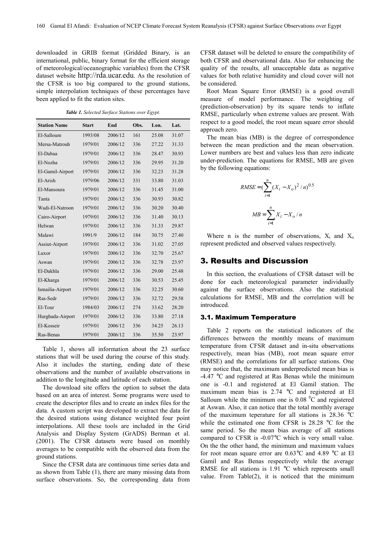downloaded in GRIB format (Gridded Binary, is an international, public, binary format for the efficient storage of meteorological/oceanographic variables) from the CFSR dataset website http://rda.ucar.edu. As the resolution of the CFSR is too big compared to the ground stations, simple interpolation techniques of these percentages have been applied to fit the station sites.

*Table 1. Selected Surface Stations over Egypt.* 

| <b>Station Name</b> | <b>Start</b> | End     | Obs. | Lon.  | Lat.  |
|---------------------|--------------|---------|------|-------|-------|
| El-Salloum          | 1993/08      | 2006/12 | 161  | 25.08 | 31.07 |
| Mersa-Matrouh       | 1979/01      | 2006/12 | 336  | 27.22 | 31.33 |
| El-Dabaa            | 1979/01      | 2006/12 | 336  | 28.47 | 30.93 |
| El-Nozha            | 1979/01      | 2006/12 | 336  | 29.95 | 31.20 |
| El-Gamil-Airport    | 1979/01      | 2006/12 | 336  | 32.23 | 31.28 |
| El-Arish            | 1979/06      | 2006/12 | 331  | 33.80 | 31.03 |
| El-Mansoura         | 1979/01      | 2006/12 | 336  | 31.45 | 31.00 |
| Tanta               | 1979/01      | 2006/12 | 336  | 30.93 | 30.82 |
| Wadi-El-Natroon     | 1979/01      | 2006/12 | 336  | 30.20 | 30.40 |
| Cairo-Airport       | 1979/01      | 2006/12 | 336  | 31.40 | 30.13 |
| Helwan              | 1979/01      | 2006/12 | 336  | 31.33 | 29.87 |
| Malawi              | 1991/9       | 2006/12 | 184  | 30.75 | 27.40 |
| Assiut-Airport      | 1979/01      | 2006/12 | 336  | 31.02 | 27.05 |
| Luxor               | 1979/01      | 2006/12 | 336  | 32.70 | 25.67 |
| Aswan               | 1979/01      | 2006/12 | 336  | 32.78 | 23.97 |
| El-Dakhla           | 1979/01      | 2006/12 | 336  | 29.00 | 25.48 |
| El-Kharga           | 1979/01      | 2006/12 | 336  | 30.53 | 25.45 |
| Ismailia-Airport    | 1979/01      | 2006/12 | 336  | 32.25 | 30.60 |
| Ras-Sedr            | 1979/01      | 2006/12 | 336  | 32.72 | 29.58 |
| El-Tour             | 1984/03      | 2006/12 | 274  | 33.62 | 28.20 |
| Hurghada-Airport    | 1979/01      | 2006/12 | 336  | 33.80 | 27.18 |
| El-Kosseir          | 1979/01      | 2006/12 | 336  | 34.25 | 26.13 |
| Ras-Benas           | 1979/01      | 2006/12 | 336  | 35.50 | 23.97 |

Table 1, shows all information about the 23 surface stations that will be used during the course of this study. Also it includes the starting, ending date of these observations and the number of available observations in addition to the longitude and latitude of each station.

The download site offers the option to subset the data based on an area of interest. Some programs were used to create the descriptor files and to create an index files for the data. A custom script was developed to extract the data for the desired stations using distance weighted four point interpolations. All these tools are included in the Grid Analysis and Display System (GrADS) Berman et al. (2001). The CFSR datasets were based on monthly averages to be compatible with the observed data from the ground stations.

Since the CFSR data are continuous time series data and as shown from Table (1), there are many missing data from surface observations. So, the corresponding data from CFSR dataset will be deleted to ensure the compatibility of both CFSR and observational data. Also for enhancing the quality of the results, all unacceptable data as negative values for both relative humidity and cloud cover will not be considered.

Root Mean Square Error (RMSE) is a good overall measure of model performance. The weighting of (prediction-observation) by its square tends to inflate RMSE, particularly when extreme values are present. With respect to a good model, the root mean square error should approach zero.

The mean bias (MB) is the degree of correspondence between the mean prediction and the mean observation. Lower numbers are best and values less than zero indicate under-prediction. The equations for RMSE, MB are given by the following equations:

RMSE = 
$$
(\sum_{i=1}^{n} (X_i - X_o)^2/n)^{0.5}
$$
  
\n
$$
MB = \sum_{i=1}^{n} X_i - X_o/n
$$

Where n is the number of observations,  $X_i$  and  $X_o$ represent predicted and observed values respectively.

## 3. Results and Discussion

In this section, the evaluations of CFSR dataset will be done for each meteorological parameter individually against the surface observations. Also the statistical calculations for RMSE, MB and the correlation will be introduced.

#### 3.1. Maximum Temperature

Table 2 reports on the statistical indicators of the differences between the monthly means of maximum temperature from CFSR dataset and in-situ observations respectively, mean bias (MB), root mean square error (RMSE) and the correlations for all surface stations. One may notice that, the maximum underpredicted mean bias is -4.47 °C and registered at Ras Benas while the minimum one is -0.1 and registered at El Gamil station. The maximum mean bias is 2.74 °C and registered at El Salloum while the minimum one is  $0.08<sup>0</sup>C$  and registered at Aswan. Also, it can notice that the total monthly average of the maximum teperature for all stations is 28.36 °C while the estimated one from CFSR is 28.28 °C for the same period. So the mean bias average of all stations compared to CFSR is -0.07°C which is very small value. On the the other hand, the minimum and maximum values for root mean square error are 0.63°C and 4.89 °C at El Gamil and Ras Benas respectively while the average RMSE for all stations is 1.91 °C which represents small value. From Table(2), it is noticed that the minimum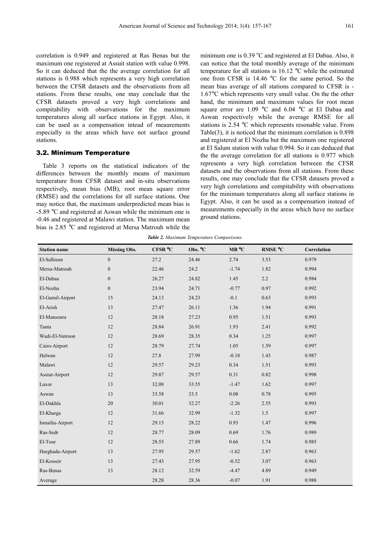correlation is 0.949 and registered at Ras Benas but the maximum one registered at Assuit station with value 0.998. So it can deduced that the the average correlation for all stations is 0.988 which represents a very high correlation between the CFSR datasets and the observations from all stations. From these results, one may conclude that the CFSR datasets proved a very high correlations and compitability with observations for the maximum temperatures along all surface stations in Egypt. Also, it can be used as a compensation intead of meaurements especially in the areas which have not surface ground stations.

#### 3.2. Minimum Temperature

Table 3 reports on the statistical indicators of the differences between the monthly means of maximum temperature from CFSR dataset and in-situ observations respectively, mean bias (MB), root mean square error (RMSE) and the correlations for all surface stations. One may notice that, the maximum underpredicted mean bias is -5.89 °C and registered at Aswan while the minimum one is -0.46 and registered at Malawi station. The maximum mean bias is 2.85 °C and registered at Mersa Matrouh while the minimum one is  $0.39 \degree C$  and registered at El Dabaa. Also, it can notice that the total monthly average of the minimum temperature for all stations is 16.12 °C while the estimated one from CFSR is 14.46 °C for the same period. So the mean bias average of all stations compared to CFSR is - 1.67°C which represents very small value. On the the other hand, the minimum and maximum values for root mean square error are  $1.09$  °C and  $6.04$  °C at El Dabaa and Aswan respectively while the average RMSE for all stations is 2.54 °C which represents resonable value. From Table(3), it is noticed that the minimum correlation is 0.898 and registered at El Nozha but the maximum one registered at El Salum station with value 0.994. So it can deduced that the the average correlation for all stations is 0.977 which represents a very high correlation between the CFSR datasets and the observations from all stations. From these results, one may conclude that the CFSR datasets proved a very high correlations and compitability with observations for the minimum temperatures along all surface stations in Egypt. Also, it can be used as a compensation instead of meaurements especially in the areas which have no surface ground stations.

*Table 2. Maximum Temperature Comparisons.* 

| <b>Station name</b> | <b>Missing Obs.</b> | CFSR °C | Obs. °C | MB °C    | RMSE °C | Correlation |
|---------------------|---------------------|---------|---------|----------|---------|-------------|
| El-Salloum          | $\overline{0}$      | 27.2    | 24.46   | 2.74     | 3.53    | 0.979       |
| Mersa-Matrouh       | $\boldsymbol{0}$    | 22.46   | 24.2    | $-1.74$  | 1.82    | 0.994       |
| El-Dabaa            | $\boldsymbol{0}$    | 26.27   | 24.82   | 1.45     | 2.2     | 0.984       |
| El-Nozha            | $\overline{0}$      | 23.94   | 24.71   | $-0.77$  | 0.97    | 0.992       |
| El-Gamil-Airport    | 15                  | 24.13   | 24.23   | $-0.1$   | 0.63    | 0.993       |
| El-Arish            | 13                  | 27.47   | 26.11   | 1.36     | 1.94    | 0.991       |
| El-Mansoura         | 12                  | 28.18   | 27.23   | 0.95     | 1.51    | 0.993       |
| Tanta               | 12                  | 28.84   | 26.91   | 1.93     | 2.41    | 0.992       |
| Wadi-El-Natroon     | 12                  | 28.69   | 28.35   | 0.34     | 1.25    | 0.997       |
| Cairo-Airport       | 12                  | 28.79   | 27.74   | 1.05     | 1.59    | 0.997       |
| Helwan              | 12                  | 27.8    | 27.99   | $-0.18$  | 1.43    | 0.987       |
| Malawi              | 12                  | 29.57   | 29.23   | 0.34     | 1.51    | 0.993       |
| Assiut-Airport      | 12                  | 29.87   | 29.57   | 0.31     | 0.82    | 0.998       |
| Luxor               | 13                  | 32.08   | 33.55   | $-1.47$  | 1.62    | 0.997       |
| Aswan               | 13                  | 33.58   | 33.5    | $0.08\,$ | 0.78    | 0.995       |
| El-Dakhla           | 20                  | 30.01   | 32.27   | $-2.26$  | 2.55    | 0.993       |
| El-Kharga           | 12                  | 31.66   | 32.99   | $-1.32$  | 1.5     | 0.997       |
| Ismailia-Airport    | 12                  | 29.15   | 28.22   | 0.93     | 1.47    | 0.996       |
| Ras-Sedr            | 12                  | 28.77   | 28.09   | 0.69     | 1.76    | 0.989       |
| El-Tour             | 12                  | 28.55   | 27.89   | 0.66     | 1.74    | 0.985       |
| Hurghada-Airport    | 13                  | 27.95   | 29.57   | $-1.62$  | 2.87    | 0.963       |
| El-Kosseir          | 13                  | 27.43   | 27.95   | $-0.52$  | 3.07    | 0.963       |
| Ras-Benas           | 13                  | 28.12   | 32.59   | $-4.47$  | 4.89    | 0.949       |
| Average             |                     | 28.28   | 28.36   | $-0.07$  | 1.91    | 0.988       |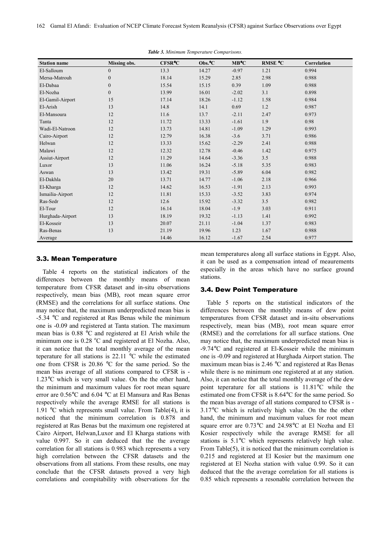| <b>Station name</b> | <b>Missing obs.</b> | <b>CFSR°C</b> | $Obs.\nC$ | MB°C    | RMSE °C | Correlation |
|---------------------|---------------------|---------------|-----------|---------|---------|-------------|
| El-Salloum          | $\overline{0}$      | 13.3          | 14.27     | $-0.97$ | 1.21    | 0.994       |
| Mersa-Matrouh       | $\overline{0}$      | 18.14         | 15.29     | 2.85    | 2.98    | 0.988       |
| El-Dabaa            | $\boldsymbol{0}$    | 15.54         | 15.15     | 0.39    | 1.09    | 0.988       |
| El-Nozha            | $\overline{0}$      | 13.99         | 16.01     | $-2.02$ | 3.1     | 0.898       |
| El-Gamil-Airport    | 15                  | 17.14         | 18.26     | $-1.12$ | 1.58    | 0.984       |
| El-Arish            | 13                  | 14.8          | 14.1      | 0.69    | 1.2     | 0.987       |
| El-Mansoura         | 12                  | 11.6          | 13.7      | $-2.11$ | 2.47    | 0.973       |
| Tanta               | 12                  | 11.72         | 13.33     | $-1.61$ | 1.9     | 0.98        |
| Wadi-El-Natroon     | 12                  | 13.73         | 14.81     | $-1.09$ | 1.29    | 0.993       |
| Cairo-Airport       | 12                  | 12.79         | 16.38     | $-3.6$  | 3.71    | 0.986       |
| Helwan              | 12                  | 13.33         | 15.62     | $-2.29$ | 2.41    | 0.988       |
| Malawi              | 12                  | 12.32         | 12.78     | $-0.46$ | 1.42    | 0.975       |
| Assiut-Airport      | 12                  | 11.29         | 14.64     | $-3.36$ | 3.5     | 0.988       |
| Luxor               | 13                  | 11.06         | 16.24     | $-5.18$ | 5.35    | 0.983       |
| Aswan               | 13                  | 13.42         | 19.31     | $-5.89$ | 6.04    | 0.982       |
| El-Dakhla           | 20                  | 13.71         | 14.77     | $-1.06$ | 2.18    | 0.966       |
| El-Kharga           | 12                  | 14.62         | 16.53     | $-1.91$ | 2.13    | 0.993       |
| Ismailia-Airport    | 12                  | 11.81         | 15.33     | $-3.52$ | 3.83    | 0.974       |
| Ras-Sedr            | 12                  | 12.6          | 15.92     | $-3.32$ | 3.5     | 0.982       |
| El-Tour             | 12                  | 16.14         | 18.04     | $-1.9$  | 3.03    | 0.911       |
| Hurghada-Airport    | 13                  | 18.19         | 19.32     | $-1.13$ | 1.41    | 0.992       |
| El-Kosseir          | 13                  | 20.07         | 21.11     | $-1.04$ | 1.37    | 0.983       |
| Ras-Benas           | 13                  | 21.19         | 19.96     | 1.23    | 1.67    | 0.988       |
| Average             |                     | 14.46         | 16.12     | $-1.67$ | 2.54    | 0.977       |

*Table 3. Minimum Temperature Comparisons.* 

#### 3.3. Mean Temperature

Table 4 reports on the statistical indicators of the differences between the monthly means of mean temperature from CFSR dataset and in-situ observations respectively, mean bias (MB), root mean square error (RMSE) and the correlations for all surface stations. One may notice that, the maximum underpredicted mean bias is -5.34 °C and registered at Ras Benas while the minimum one is -0.09 and registered at Tanta station. The maximum mean bias is 0.88 °C and registered at El Arish while the minimum one is  $0.28 \degree C$  and registered at El Nozha. Also, it can notice that the total monthly average of the mean teperature for all stations is 22.11 °C while the estimated one from CFSR is 20.86 °C for the same period. So the mean bias average of all stations compared to CFSR is - 1.23°C which is very small value. On the the other hand, the minimum and maximum values for root mean square error are 0.56°C and 6.04 °C at El Mansura and Ras Benas respectively while the average RMSE for all stations is 1.91 °C which represents small value. From Table(4), it is noticed that the minimum correlation is 0.878 and registered at Ras Benas but the maximum one registered at Cairo Airport, Helwan,Luxor and El Kharga stations with value 0.997. So it can deduced that the the average correlation for all stations is 0.983 which represents a very high correlation between the CFSR datasets and the observations from all stations. From these results, one may conclude that the CFSR datasets proved a very high correlations and compitability with observations for the mean temperatures along all surface stations in Egypt. Also, it can be used as a compensation intead of meaurements especially in the areas which have no surface ground stations.

#### 3.4. Dew Point Temperature

Table 5 reports on the statistical indicators of the differences between the monthly means of dew point temperatures from CFSR dataset and in-situ observations respectively, mean bias (MB), root mean square error (RMSE) and the correlations for all surface stations. One may notice that, the maximum underpredicted mean bias is -9.74°C and registered at El-Kosseir while the minimum one is -0.09 and registered at Hurghada Airport station. The maximum mean bias is 2.46 °C and registered at Ras Benas while there is no minimum one registered at at any station. Also, it can notice that the total monthly average of the dew point teperature for all stations is 11.81°C while the estimated one from CFSR is 8.64°C for the same period. So the mean bias average of all stations compared to CFSR is - 3.17°C which is relatively high value. On the the other hand, the minimum and maximum values for root mean square error are 0.73°C and 24.98°C at El Nozha and El Kosier respectively while the average RMSE for all stations is 5.1°C which represents relatively high value. From Table(5), it is noticed that the minimum correlation is 0.215 and registered at El Kosier but the maximum one registered at El Nozha station with value 0.99. So it can deduced that the the average correlation for all stations is 0.85 which represents a resonable correlation between the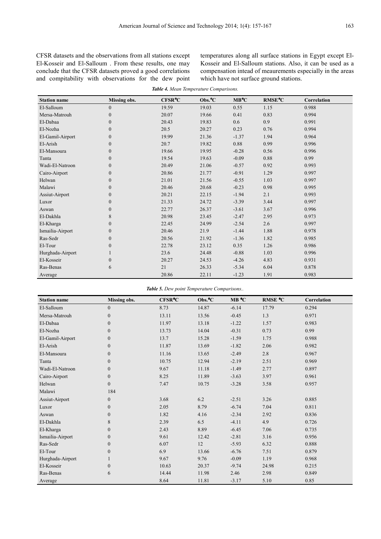CFSR datasets and the observations from all stations except El-Kosseir and El-Salloum . From these results, one may conclude that the CFSR datasets proved a good correlations and compitability with observations for the dew point temperatures along all surface stations in Egypt except El-Kosseir and El-Salloum stations. Also, it can be used as a compensation intead of meaurements especially in the areas which have not surface ground stations.

| <b>Station name</b> | <b>Missing obs.</b> | <b>CFSR°C</b> | Obs. <sup>o</sup> C | MB°C    | <b>RMSE°C</b> | Correlation |
|---------------------|---------------------|---------------|---------------------|---------|---------------|-------------|
| El-Salloum          | $\overline{0}$      | 19.59         | 19.03               | 0.55    | 1.15          | 0.988       |
| Mersa-Matrouh       | $\overline{0}$      | 20.07         | 19.66               | 0.41    | 0.83          | 0.994       |
| El-Dabaa            | $\theta$            | 20.43         | 19.83               | 0.6     | 0.9           | 0.991       |
| El-Nozha            | $\overline{0}$      | 20.5          | 20.27               | 0.23    | 0.76          | 0.994       |
| El-Gamil-Airport    | $\overline{0}$      | 19.99         | 21.36               | $-1.37$ | 1.94          | 0.964       |
| El-Arish            | $\overline{0}$      | 20.7          | 19.82               | 0.88    | 0.99          | 0.996       |
| El-Mansoura         | $\overline{0}$      | 19.66         | 19.95               | $-0.28$ | 0.56          | 0.996       |
| Tanta               | $\overline{0}$      | 19.54         | 19.63               | $-0.09$ | 0.88          | 0.99        |
| Wadi-El-Natroon     | $\overline{0}$      | 20.49         | 21.06               | $-0.57$ | 0.92          | 0.993       |
| Cairo-Airport       | $\boldsymbol{0}$    | 20.86         | 21.77               | $-0.91$ | 1.29          | 0.997       |
| Helwan              | $\overline{0}$      | 21.01         | 21.56               | $-0.55$ | 1.03          | 0.997       |
| Malawi              | $\boldsymbol{0}$    | 20.46         | 20.68               | $-0.23$ | 0.98          | 0.995       |
| Assiut-Airport      | $\overline{0}$      | 20.21         | 22.15               | $-1.94$ | 2.1           | 0.993       |
| Luxor               | $\overline{0}$      | 21.33         | 24.72               | $-3.39$ | 3.44          | 0.997       |
| Aswan               | $\overline{0}$      | 22.77         | 26.37               | $-3.61$ | 3.67          | 0.996       |
| El-Dakhla           | 8                   | 20.98         | 23.45               | $-2.47$ | 2.95          | 0.973       |
| El-Kharga           | $\overline{0}$      | 22.45         | 24.99               | $-2.54$ | 2.6           | 0.997       |
| Ismailia-Airport    | $\overline{0}$      | 20.46         | 21.9                | $-1.44$ | 1.88          | 0.978       |
| Ras-Sedr            | $\boldsymbol{0}$    | 20.56         | 21.92               | $-1.36$ | 1.82          | 0.985       |
| El-Tour             | $\boldsymbol{0}$    | 22.78         | 23.12               | 0.35    | 1.26          | 0.986       |
| Hurghada-Airport    |                     | 23.6          | 24.48               | $-0.88$ | 1.03          | 0.996       |
| El-Kosseir          | $\overline{0}$      | 20.27         | 24.53               | $-4.26$ | 4.83          | 0.931       |
| Ras-Benas           | 6                   | 21            | 26.33               | $-5.34$ | 6.04          | 0.878       |
| Average             |                     | 20.86         | 22.11               | $-1.23$ | 1.91          | 0.983       |

*Table 4. Mean Temperature Comparisons.* 

*Table 5. Dew point Temperature Comparisons..* 

| <b>Station name</b> | Missing obs.   | <b>CFSR°C</b> | Obs. <sup>o</sup> C | MB °C   | RMSE °C | Correlation |
|---------------------|----------------|---------------|---------------------|---------|---------|-------------|
| El-Salloum          | $\Omega$       | 8.73          | 14.87               | $-6.14$ | 17.79   | 0.294       |
| Mersa-Matrouh       | $\theta$       | 13.11         | 13.56               | $-0.45$ | 1.3     | 0.971       |
| El-Dabaa            | $\Omega$       | 11.97         | 13.18               | $-1.22$ | 1.57    | 0.983       |
| El-Nozha            | $\overline{0}$ | 13.73         | 14.04               | $-0.31$ | 0.73    | 0.99        |
| El-Gamil-Airport    | $\mathbf{0}$   | 13.7          | 15.28               | $-1.59$ | 1.75    | 0.988       |
| El-Arish            | $\theta$       | 11.87         | 13.69               | $-1.82$ | 2.06    | 0.982       |
| El-Mansoura         | $\Omega$       | 11.16         | 13.65               | $-2.49$ | 2.8     | 0.967       |
| Tanta               | $\mathbf{0}$   | 10.75         | 12.94               | $-2.19$ | 2.51    | 0.969       |
| Wadi-El-Natroon     | $\Omega$       | 9.67          | 11.18               | $-1.49$ | 2.77    | 0.897       |
| Cairo-Airport       | $\overline{0}$ | 8.25          | 11.89               | $-3.63$ | 3.97    | 0.961       |
| Helwan              | $\Omega$       | 7.47          | 10.75               | $-3.28$ | 3.58    | 0.957       |
| Malawi              | 184            |               |                     |         |         |             |
| Assiut-Airport      | $\overline{0}$ | 3.68          | 6.2                 | $-2.51$ | 3.26    | 0.885       |
| Luxor               | $\overline{0}$ | 2.05          | 8.79                | $-6.74$ | 7.04    | 0.811       |
| Aswan               | $\Omega$       | 1.82          | 4.16                | $-2.34$ | 2.92    | 0.836       |
| El-Dakhla           | 8              | 2.39          | 6.5                 | $-4.11$ | 4.9     | 0.726       |
| El-Kharga           | $\Omega$       | 2.43          | 8.89                | $-6.45$ | 7.06    | 0.735       |
| Ismailia-Airport    | $\overline{0}$ | 9.61          | 12.42               | $-2.81$ | 3.16    | 0.956       |
| Ras-Sedr            | $\Omega$       | 6.07          | 12                  | $-5.93$ | 6.32    | 0.888       |
| El-Tour             | $\mathbf{0}$   | 6.9           | 13.66               | $-6.76$ | 7.51    | 0.879       |
| Hurghada-Airport    |                | 9.67          | 9.76                | $-0.09$ | 1.19    | 0.968       |
| El-Kosseir          | $\mathbf{0}$   | 10.63         | 20.37               | $-9.74$ | 24.98   | 0.215       |
| Ras-Benas           | 6              | 14.44         | 11.98               | 2.46    | 2.98    | 0.849       |
| Average             |                | 8.64          | 11.81               | $-3.17$ | 5.10    | 0.85        |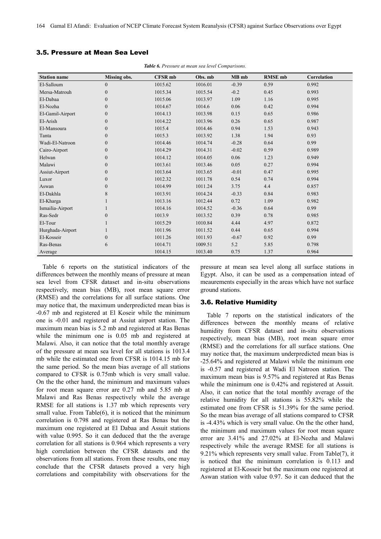#### 3.5. Pressure at Mean Sea Level

| <b>Station name</b> | Missing obs.     | <b>CFSR</b> mb | Obs. mb | MB mb   | <b>RMSE</b> mb | Correlation |
|---------------------|------------------|----------------|---------|---------|----------------|-------------|
| El-Salloum          | $\boldsymbol{0}$ | 1015.62        | 1016.01 | $-0.39$ | 0.59           | 0.992       |
| Mersa-Matrouh       | $\boldsymbol{0}$ | 1015.34        | 1015.54 | $-0.2$  | 0.45           | 0.993       |
| El-Dabaa            | $\boldsymbol{0}$ | 1015.06        | 1013.97 | 1.09    | 1.16           | 0.995       |
| El-Nozha            | $\mathbf{0}$     | 1014.67        | 1014.6  | 0.06    | 0.42           | 0.994       |
| El-Gamil-Airport    | $\boldsymbol{0}$ | 1014.13        | 1013.98 | 0.15    | 0.65           | 0.986       |
| El-Arish            | $\boldsymbol{0}$ | 1014.22        | 1013.96 | 0.26    | 0.65           | 0.987       |
| El-Mansoura         | $\boldsymbol{0}$ | 1015.4         | 1014.46 | 0.94    | 1.53           | 0.943       |
| Tanta               | $\boldsymbol{0}$ | 1015.3         | 1013.92 | 1.38    | 1.94           | 0.93        |
| Wadi-El-Natroon     | $\boldsymbol{0}$ | 1014.46        | 1014.74 | $-0.28$ | 0.64           | 0.99        |
| Cairo-Airport       | $\boldsymbol{0}$ | 1014.29        | 1014.31 | $-0.02$ | 0.59           | 0.989       |
| Helwan              | $\boldsymbol{0}$ | 1014.12        | 1014.05 | 0.06    | 1.23           | 0.949       |
| Malawi              | $\mathbf{0}$     | 1013.61        | 1013.46 | 0.05    | 0.27           | 0.994       |
| Assiut-Airport      | $\boldsymbol{0}$ | 1013.64        | 1013.65 | $-0.01$ | 0.47           | 0.995       |
| Luxor               | $\boldsymbol{0}$ | 1012.32        | 1011.78 | 0.54    | 0.74           | 0.994       |
| Aswan               | $\boldsymbol{0}$ | 1014.99        | 1011.24 | 3.75    | 4.4            | 0.857       |
| El-Dakhla           | 8                | 1013.91        | 1014.24 | $-0.33$ | 0.84           | 0.983       |
| El-Kharga           |                  | 1013.16        | 1012.44 | 0.72    | 1.09           | 0.982       |
| Ismailia-Airport    |                  | 1014.16        | 1014.52 | $-0.36$ | 0.64           | 0.99        |
| Ras-Sedr            | $\mathbf{0}$     | 1013.9         | 1013.52 | 0.39    | 0.78           | 0.985       |
| El-Tour             |                  | 1015.29        | 1010.84 | 4.44    | 4.97           | 0.872       |
| Hurghada-Airport    |                  | 1011.96        | 1011.52 | 0.44    | 0.65           | 0.994       |
| El-Kosseir          | $\boldsymbol{0}$ | 1011.26        | 1011.93 | $-0.67$ | 0.92           | 0.99        |
| Ras-Benas           | 6                | 1014.71        | 1009.51 | 5.2     | 5.85           | 0.798       |
| Average             |                  | 1014.15        | 1013.40 | 0.75    | 1.37           | 0.964       |

*Table 6. Pressure at mean sea level Comparisons.* 

Table 6 reports on the statistical indicators of the differences between the monthly means of pressure at mean sea level from CFSR dataset and in-situ observations respectively, mean bias (MB), root mean square error (RMSE) and the correlations for all surface stations. One may notice that, the maximum underpredicted mean bias is -0.67 mb and registered at El Koseir while the minimum one is -0.01 and registered at Assiut airport station. The maximum mean bias is 5.2 mb and registered at Ras Benas while the minimum one is  $0.05$  mb and registered at Malawi. Also, it can notice that the total monthly average of the pressure at mean sea level for all stations is 1013.4 mb while the estimated one from CFSR is 1014.15 mb for the same period. So the mean bias average of all stations compared to CFSR is 0.75mb which is very small value. On the the other hand, the minimum and maximum values for root mean square error are 0.27 mb and 5.85 mb at Malawi and Ras Benas respectively while the average RMSE for all stations is 1.37 mb which represents very small value. From Table(6), it is noticed that the minimum correlation is 0.798 and registered at Ras Benas but the maximum one registered at El Dabaa and Assuit stations with value 0.995. So it can deduced that the the average correlation for all stations is 0.964 which represents a very high correlation between the CFSR datasets and the observations from all stations. From these results, one may conclude that the CFSR datasets proved a very high correlations and compitability with observations for the pressure at mean sea level along all surface stations in Egypt. Also, it can be used as a compensation intead of meaurements especially in the areas which have not surface ground stations.

#### 3.6. Relative Humidity

Table 7 reports on the statistical indicators of the differences between the monthly means of relative humidity from CFSR dataset and in-situ observations respectively, mean bias (MB), root mean square error (RMSE) and the correlations for all surface stations. One may notice that, the maximum underpredicted mean bias is -25.64% and registered at Malawi while the minimum one is -0.57 and registered at Wadi El Natroon station. The maximum mean bias is 9.57% and registered at Ras Benas while the minimum one is 0.42% and registered at Assuit. Also, it can notice that the total monthly average of the relative humidity for all stations is 55.82% while the estimated one from CFSR is 51.39% for the same period. So the mean bias average of all stations compared to CFSR is -4.43% which is very small value. On the the other hand, the minimum and maximum values for root mean square error are 3.41% and 27.02% at El-Nozha and Malawi respectively while the average RMSE for all stations is 9.21% which represents very small value. From Table(7), it is noticed that the minimum correlation is 0.113 and registered at El-Kosseir but the maximum one registered at Aswan station with value 0.97. So it can deduced that the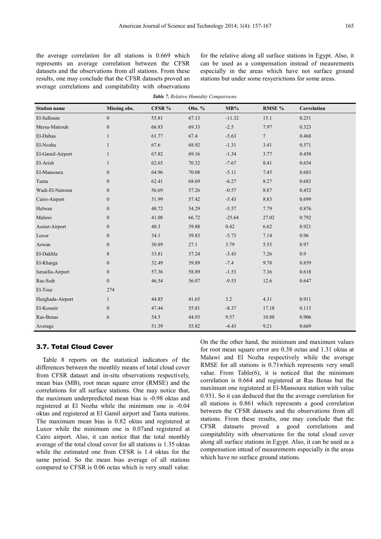the average correlation for all stations is 0.669 which represents an average correlation between the CFSR datasets and the observations from all stations. From these results, one may conclude that the CFSR datasets proved an average correlations and compitability with observations

for the relative along all surface stations in Egypt. Also, it can be used as a compensation instead of meaurements especially in the areas which have not surface ground stations but under some resyerictions for some areas.

| <b>Station name</b> | <b>Missing obs.</b> | CFSR % | Obs. % | $MB\%$   | RMSE %         | Correlation |
|---------------------|---------------------|--------|--------|----------|----------------|-------------|
| El-Salloum          | $\boldsymbol{0}$    | 55.81  | 67.13  | $-11.32$ | 15.1           | 0.251       |
| Mersa-Matrouh       | $\boldsymbol{0}$    | 66.83  | 69.33  | $-2.5$   | 7.97           | 0.323       |
| El-Dabaa            | $\mathbf{1}$        | 61.77  | 67.4   | $-5.63$  | $\overline{7}$ | 0.468       |
| El-Nozha            | $\mathbf{1}$        | 67.6   | 68.92  | $-1.31$  | 3.41           | 0.571       |
| El-Gamil-Airport    | $\mathbf{1}$        | 67.82  | 69.16  | $-1.34$  | 3.77           | 0.458       |
| El-Arish            | $\mathbf{1}$        | 62.65  | 70.32  | $-7.67$  | 8.41           | 0.654       |
| El-Mansoura         | $\mathbf{0}$        | 64.96  | 70.08  | $-5.11$  | 7.45           | 0.683       |
| Tanta               | $\boldsymbol{0}$    | 62.41  | 68.69  | $-6.27$  | 8.27           | 0.683       |
| Wadi-El-Natroon     | $\mathbf{0}$        | 56.69  | 57.26  | $-0.57$  | 8.87           | 0.452       |
| Cairo-Airport       | $\boldsymbol{0}$    | 51.99  | 57.42  | $-5.43$  | 8.83           | 0.699       |
| Helwan              | $\boldsymbol{0}$    | 48.72  | 54.29  | $-5.57$  | 7.79           | 0.876       |
| Malawi              | $\boldsymbol{0}$    | 41.08  | 66.72  | $-25.64$ | 27.02          | 0.792       |
| Assiut-Airport      | $\boldsymbol{0}$    | 40.3   | 39.88  | 0.42     | 6.62           | 0.921       |
| Luxor               | $\boldsymbol{0}$    | 34.1   | 39.83  | $-5.73$  | 7.14           | 0.96        |
| Aswan               | $\boldsymbol{0}$    | 30.89  | 27.1   | 3.79     | 5.55           | 0.97        |
| El-Dakhla           | 8                   | 33.81  | 37.24  | $-3.43$  | 7.26           | 0.9         |
| El-Kharga           | $\boldsymbol{0}$    | 32.49  | 39.89  | $-7.4$   | 9.78           | 0.859       |
| Ismailia-Airport    | $\boldsymbol{0}$    | 57.36  | 58.89  | $-1.53$  | 7.36           | 0.618       |
| Ras-Sedr            | $\boldsymbol{0}$    | 46.54  | 56.07  | $-9.53$  | 12.6           | 0.647       |
| El-Tour             | 274                 |        |        |          |                |             |
| Hurghada-Airport    | $\mathbf{1}$        | 44.85  | 41.65  | 3.2      | 4.31           | 0.911       |
| El-Kosseir          | $\mathbf{0}$        | 47.44  | 55.81  | $-8.37$  | 17.18          | 0.113       |
| Ras-Benas           | 6                   | 54.5   | 44.93  | 9.57     | 10.88          | 0.906       |
| Average             |                     | 51.39  | 55.82  | $-4.43$  | 9.21           | 0.669       |

*Table 7. Relative Humidity Comparisons.* 

#### 3.7. Total Cloud Cover

Table 8 reports on the statistical indicators of the differences between the monthly means of total cloud cover from CFSR dataset and in-situ observations respectively, mean bias (MB), root mean square error (RMSE) and the correlations for all surface stations. One may notice that, the maximum underpredicted mean bias is -0.98 oktas and registered at El Nozha while the minimum one is -0.04 oktas and registered at El Gamil airport and Tanta stations. The maximum mean bias is 0.82 oktas and registered at Luxor while the minimum one is 0.07and registered at Cairo airport. Also, it can notice that the total monthly average of the total cloud cover for all stations is 1.35 oktas while the estimated one from CFSR is 1.4 oktas for the same period. So the mean bias average of all stations compared to CFSR is 0.06 octas which is very small value.

On the the other hand, the minimum and maximum values for root mean square error are 0.38 octas and 1.31 oktas at Malawi and El Nozha respectively while the average RMSE for all stations is 0.71which represents very small value. From Table $(6)$ , it is noticed that the minimum correlation is 0.664 and registered at Ras Benas but the maximum one registered at El-Mansoura station with value 0.931. So it can deduced that the the average correlation for all stations is 0.861 which represents a good correlation between the CFSR datasets and the observations from all stations. From these results, one may conclude that the CFSR datasets proved a good correlations and compitability with observations for the total cloud cover along all surface stations in Egypt. Also, it can be used as a compensation intead of meaurements especially in the areas which have no surface ground stations.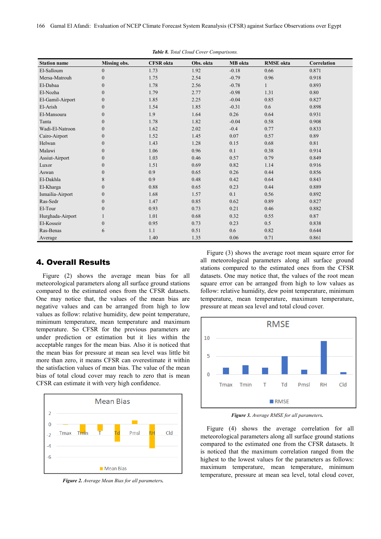166 Gamal El Afandi: Evaluation of NCEP Climate Forecast System Reanalysis (CFSR) against Surface Observations over Egypt

| <b>Station name</b> | <b>Missing obs.</b> | <b>CFSR</b> okta | Obs. okta | MB okta | <b>RMSE</b> okta | <b>Correlation</b> |
|---------------------|---------------------|------------------|-----------|---------|------------------|--------------------|
| El-Salloum          | $\overline{0}$      | 1.73             | 1.92      | $-0.18$ | 0.66             | 0.871              |
| Mersa-Matrouh       | $\theta$            | 1.75             | 2.54      | $-0.79$ | 0.96             | 0.918              |
| El-Dabaa            | $\theta$            | 1.78             | 2.56      | $-0.78$ |                  | 0.893              |
| El-Nozha            | $\theta$            | 1.79             | 2.77      | $-0.98$ | 1.31             | 0.80               |
| El-Gamil-Airport    | $\overline{0}$      | 1.85             | 2.25      | $-0.04$ | 0.85             | 0.827              |
| El-Arish            | $\Omega$            | 1.54             | 1.85      | $-0.31$ | 0.6              | 0.898              |
| El-Mansoura         | $\theta$            | 1.9              | 1.64      | 0.26    | 0.64             | 0.931              |
| Tanta               | $\Omega$            | 1.78             | 1.82      | $-0.04$ | 0.58             | 0.908              |
| Wadi-El-Natroon     | $\Omega$            | 1.62             | 2.02      | $-0.4$  | 0.77             | 0.833              |
| Cairo-Airport       | $\Omega$            | 1.52             | 1.45      | 0.07    | 0.57             | 0.89               |
| Helwan              | $\theta$            | 1.43             | 1.28      | 0.15    | 0.68             | 0.81               |
| Malawi              | $\overline{0}$      | 1.06             | 0.96      | 0.1     | 0.38             | 0.914              |
| Assiut-Airport      | $\overline{0}$      | 1.03             | 0.46      | 0.57    | 0.79             | 0.849              |
| Luxor               | $\overline{0}$      | 1.51             | 0.69      | 0.82    | 1.14             | 0.916              |
| Aswan               | $\Omega$            | 0.9              | 0.65      | 0.26    | 0.44             | 0.856              |
| El-Dakhla           | 8                   | 0.9              | 0.48      | 0.42    | 0.64             | 0.843              |
| El-Kharga           | $\Omega$            | 0.88             | 0.65      | 0.23    | 0.44             | 0.889              |
| Ismailia-Airport    | $\overline{0}$      | 1.68             | 1.57      | 0.1     | 0.56             | 0.892              |
| Ras-Sedr            | $\Omega$            | 1.47             | 0.85      | 0.62    | 0.89             | 0.827              |
| El-Tour             | $\theta$            | 0.93             | 0.73      | 0.21    | 0.46             | 0.882              |
| Hurghada-Airport    |                     | 1.01             | 0.68      | 0.32    | 0.55             | 0.87               |
| El-Kosseir          | $\Omega$            | 0.95             | 0.73      | 0.23    | 0.5              | 0.838              |
| Ras-Benas           | 6                   | 1.1              | 0.51      | 0.6     | 0.82             | 0.644              |
| Average             |                     | 1.40             | 1.35      | 0.06    | 0.71             | 0.861              |

*Table 8. Total Cloud Cover Comparisons.* 

# 4. Overall Results

Figure (2) shows the average mean bias for all meteorological parameters along all surface ground stations compared to the estimated ones from the CFSR datasets. One may notice that, the values of the mean bias are negative values and can be arranged from high to low values as follow: relative humidity, dew point temperature, minimum temperature, mean temperature and maximum temperature. So CFSR for the previous parameters are under prediction or estimation but it lies within the acceptable ranges for the mean bias. Also it is noticed that the mean bias for pressure at mean sea level was little bit more than zero, it means CFSR can overestimate it within the satisfaction values of mean bias. The value of the mean bias of total cloud cover may reach to zero that is mean CFSR can estimate it with very high confidence.



*Figure 2. Average Mean Bias for all parameters.* 

Figure (3) shows the average root mean square error for all meteorological parameters along all surface ground stations compared to the estimated ones from the CFSR datasets. One may notice that, the values of the root mean square error can be arranged from high to low values as follow: relative humidity, dew point temperature, minimum temperature, mean temperature, maximum temperature, pressure at mean sea level and total cloud cover.



*Figure 3. Average RMSE for all parameters.* 

Figure (4) shows the average correlation for all meteorological parameters along all surface ground stations compared to the estimated one from the CFSR datasets. It is noticed that the maximum correlation ranged from the highest to the lowest values for the parameters as follows: maximum temperature, mean temperature, minimum temperature, pressure at mean sea level, total cloud cover,